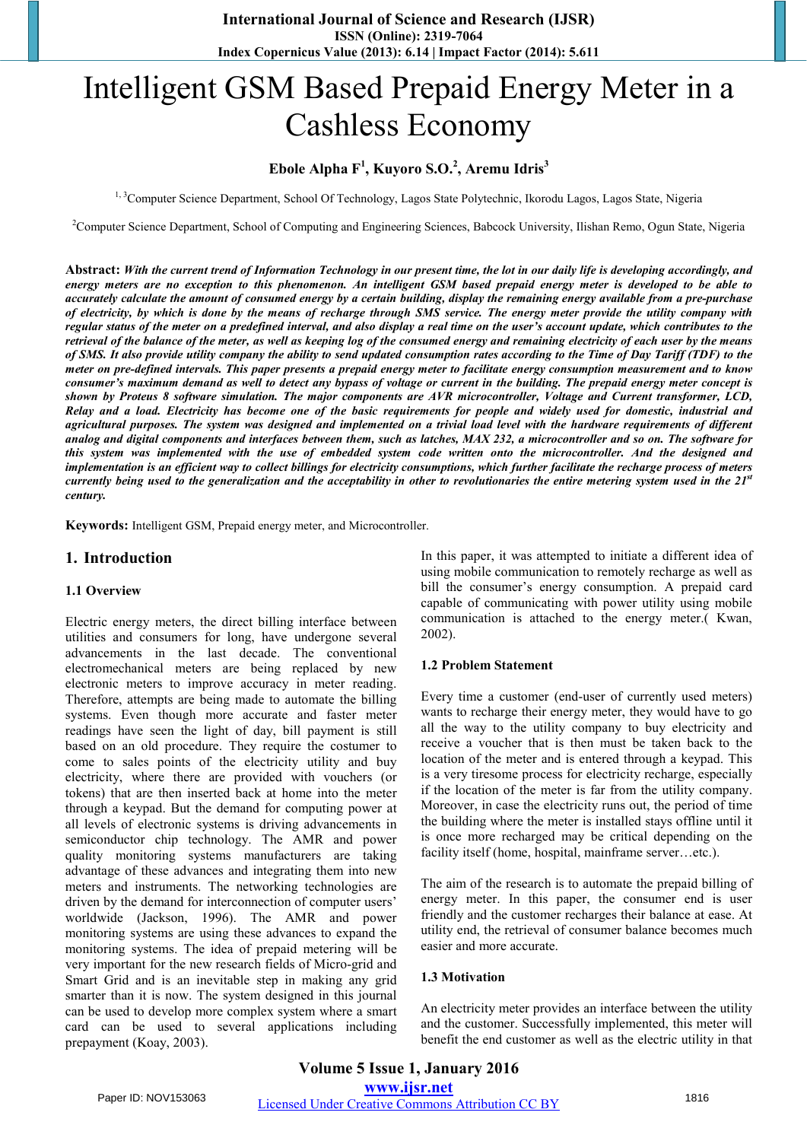# Intelligent GSM Based Prepaid Energy Meter in a Cashless Economy

## **Ebole Alpha F<sup>1</sup> , Kuyoro S.O.<sup>2</sup> , Aremu Idris<sup>3</sup>**

<sup>1, 3</sup>Computer Science Department, School Of Technology, Lagos State Polytechnic, Ikorodu Lagos, Lagos State, Nigeria

<sup>2</sup>Computer Science Department, School of Computing and Engineering Sciences, Babcock University, Ilishan Remo, Ogun State, Nigeria

**Abstract:** *With the current trend of Information Technology in our present time, the lot in our daily life is developing accordingly, and energy meters are no exception to this phenomenon. An intelligent GSM based prepaid energy meter is developed to be able to accurately calculate the amount of consumed energy by a certain building, display the remaining energy available from a pre-purchase of electricity, by which is done by the means of recharge through SMS service. The energy meter provide the utility company with regular status of the meter on a predefined interval, and also display a real time on the user's account update, which contributes to the retrieval of the balance of the meter, as well as keeping log of the consumed energy and remaining electricity of each user by the means of SMS. It also provide utility company the ability to send updated consumption rates according to the Time of Day Tariff (TDF) to the meter on pre-defined intervals. This paper presents a prepaid energy meter to facilitate energy consumption measurement and to know consumer's maximum demand as well to detect any bypass of voltage or current in the building. The prepaid energy meter concept is shown by Proteus 8 software simulation. The major components are AVR microcontroller, Voltage and Current transformer, LCD,* Relay and a load. Electricity has become one of the basic requirements for people and widely used for domestic, industrial and agricultural purposes. The system was designed and implemented on a trivial load level with the hardware requirements of different analog and digital components and interfaces between them, such as latches, MAX 232, a microcontroller and so on. The software for this system was implemented with the use of embedded system code written onto the microcontroller. And the designed and implementation is an efficient way to collect billings for electricity consumptions, which further facilitate the recharge process of meters currently being used to the generalization and the acceptability in other to revolutionaries the entire metering system used in the 21st *century.*

**Keywords:** Intelligent GSM, Prepaid energy meter, and Microcontroller.

#### **1. Introduction**

#### **1.1 Overview**

Electric energy meters, the direct billing interface between utilities and consumers for long, have undergone several advancements in the last decade. The conventional electromechanical meters are being replaced by new electronic meters to improve accuracy in meter reading. Therefore, attempts are being made to automate the billing systems. Even though more accurate and faster meter readings have seen the light of day, bill payment is still based on an old procedure. They require the costumer to come to sales points of the electricity utility and buy electricity, where there are provided with vouchers (or tokens) that are then inserted back at home into the meter through a keypad. But the demand for computing power at all levels of electronic systems is driving advancements in semiconductor chip technology. The AMR and power quality monitoring systems manufacturers are taking advantage of these advances and integrating them into new meters and instruments. The networking technologies are driven by the demand for interconnection of computer users' worldwide (Jackson, 1996). The AMR and power monitoring systems are using these advances to expand the monitoring systems. The idea of prepaid metering will be very important for the new research fields of Micro-grid and Smart Grid and is an inevitable step in making any grid smarter than it is now. The system designed in this journal can be used to develop more complex system where a smart card can be used to several applications including prepayment (Koay, 2003).

In this paper, it was attempted to initiate a different idea of using mobile communication to remotely recharge as well as bill the consumer's energy consumption. A prepaid card capable of communicating with power utility using mobile communication is attached to the energy meter.( Kwan, 2002).

#### **1.2 Problem Statement**

Every time a customer (end-user of currently used meters) wants to recharge their energy meter, they would have to go all the way to the utility company to buy electricity and receive a voucher that is then must be taken back to the location of the meter and is entered through a keypad. This is a very tiresome process for electricity recharge, especially if the location of the meter is far from the utility company. Moreover, in case the electricity runs out, the period of time the building where the meter is installed stays offline until it is once more recharged may be critical depending on the facility itself (home, hospital, mainframe server…etc.).

The aim of the research is to automate the prepaid billing of energy meter. In this paper, the consumer end is user friendly and the customer recharges their balance at ease. At utility end, the retrieval of consumer balance becomes much easier and more accurate.

#### **1.3 Motivation**

An electricity meter provides an interface between the utility and the customer. Successfully implemented, this meter will benefit the end customer as well as the electric utility in that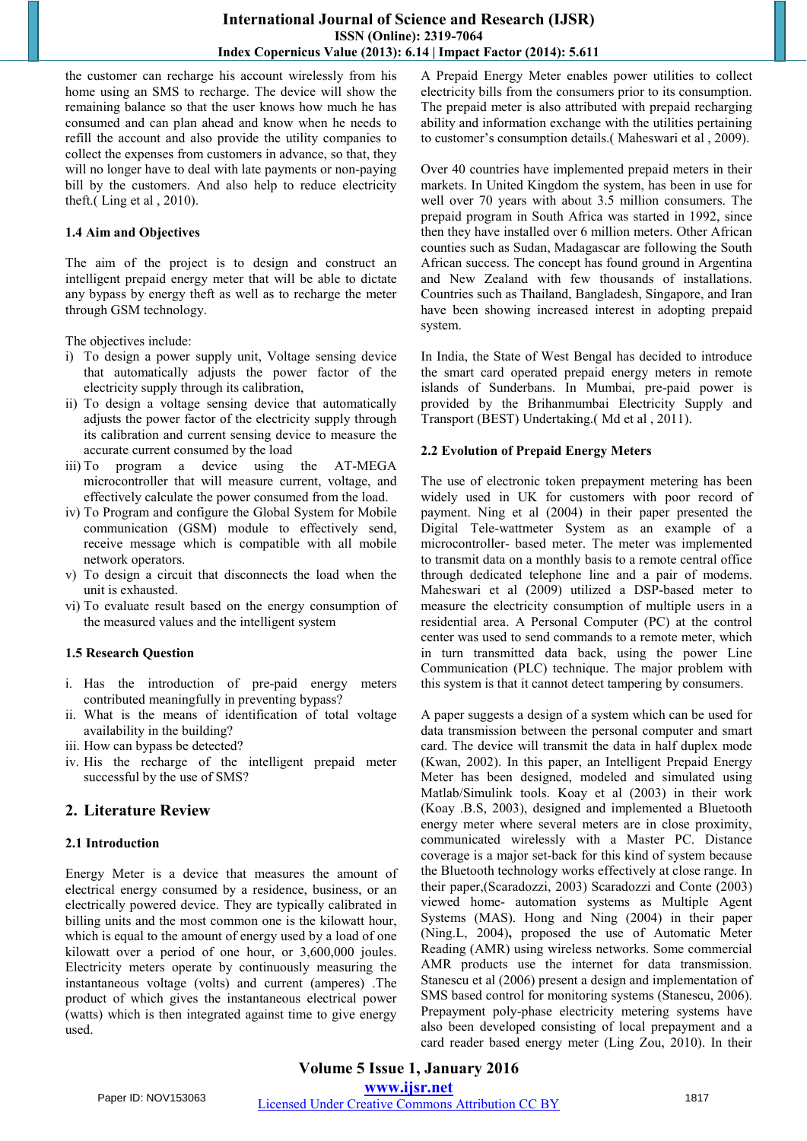the customer can recharge his account wirelessly from his home using an SMS to recharge. The device will show the remaining balance so that the user knows how much he has consumed and can plan ahead and know when he needs to refill the account and also provide the utility companies to collect the expenses from customers in advance, so that, they will no longer have to deal with late payments or non-paying bill by the customers. And also help to reduce electricity theft.( Ling et al , 2010).

#### **1.4 Aim and Objectives**

The aim of the project is to design and construct an intelligent prepaid energy meter that will be able to dictate any bypass by energy theft as well as to recharge the meter through GSM technology.

The objectives include:

- i) To design a power supply unit, Voltage sensing device that automatically adjusts the power factor of the electricity supply through its calibration,
- ii) To design a voltage sensing device that automatically adjusts the power factor of the electricity supply through its calibration and current sensing device to measure the accurate current consumed by the load
- iii) To program a device using the AT-MEGA microcontroller that will measure current, voltage, and effectively calculate the power consumed from the load.
- iv) To Program and configure the Global System for Mobile communication (GSM) module to effectively send, receive message which is compatible with all mobile network operators.
- v) To design a circuit that disconnects the load when the unit is exhausted.
- vi) To evaluate result based on the energy consumption of the measured values and the intelligent system

## **1.5 Research Question**

- i. Has the introduction of pre-paid energy meters contributed meaningfully in preventing bypass?
- ii. What is the means of identification of total voltage availability in the building?
- iii. How can bypass be detected?
- iv. His the recharge of the intelligent prepaid meter successful by the use of SMS?

## **2. Literature Review**

## **2.1 Introduction**

Energy Meter is a device that measures the amount of electrical energy consumed by a residence, business, or an electrically powered device. They are typically calibrated in billing units and the most common one is the kilowatt hour, which is equal to the amount of energy used by a load of one kilowatt over a period of one hour, or 3,600,000 joules. Electricity meters operate by continuously measuring the instantaneous voltage (volts) and current (amperes) .The product of which gives the instantaneous electrical power (watts) which is then integrated against time to give energy used.

A Prepaid Energy Meter enables power utilities to collect electricity bills from the consumers prior to its consumption. The prepaid meter is also attributed with prepaid recharging ability and information exchange with the utilities pertaining to customer's consumption details.( Maheswari et al , 2009).

Over 40 countries have implemented prepaid meters in their markets. In United Kingdom the system, has been in use for well over 70 years with about 3.5 million consumers. The prepaid program in South Africa was started in 1992, since then they have installed over 6 million meters. Other African counties such as Sudan, Madagascar are following the South African success. The concept has found ground in Argentina and New Zealand with few thousands of installations. Countries such as Thailand, Bangladesh, Singapore, and Iran have been showing increased interest in adopting prepaid system.

In India, the State of West Bengal has decided to introduce the smart card operated prepaid energy meters in remote islands of Sunderbans. In Mumbai, pre-paid power is provided by the Brihanmumbai Electricity Supply and Transport (BEST) Undertaking.( Md et al , 2011).

## **2.2 Evolution of Prepaid Energy Meters**

The use of electronic token prepayment metering has been widely used in UK for customers with poor record of payment. Ning et al (2004) in their paper presented the Digital Tele-wattmeter System as an example of a microcontroller- based meter. The meter was implemented to transmit data on a monthly basis to a remote central office through dedicated telephone line and a pair of modems. Maheswari et al (2009) utilized a DSP-based meter to measure the electricity consumption of multiple users in a residential area. A Personal Computer (PC) at the control center was used to send commands to a remote meter, which in turn transmitted data back, using the power Line Communication (PLC) technique. The major problem with this system is that it cannot detect tampering by consumers.

A paper suggests a design of a system which can be used for data transmission between the personal computer and smart card. The device will transmit the data in half duplex mode (Kwan, 2002). In this paper, an Intelligent Prepaid Energy Meter has been designed, modeled and simulated using Matlab/Simulink tools. Koay et al (2003) in their work (Koay .B.S, 2003), designed and implemented a Bluetooth energy meter where several meters are in close proximity, communicated wirelessly with a Master PC. Distance coverage is a major set-back for this kind of system because the Bluetooth technology works effectively at close range. In their paper,(Scaradozzi, 2003) Scaradozzi and Conte (2003) viewed home- automation systems as Multiple Agent Systems (MAS). Hong and Ning (2004) in their paper (Ning.L, 2004)**,** proposed the use of Automatic Meter Reading (AMR) using wireless networks. Some commercial AMR products use the internet for data transmission. Stanescu et al (2006) present a design and implementation of SMS based control for monitoring systems (Stanescu, 2006). Prepayment poly-phase electricity metering systems have also been developed consisting of local prepayment and a card reader based energy meter (Ling Zou, 2010). In their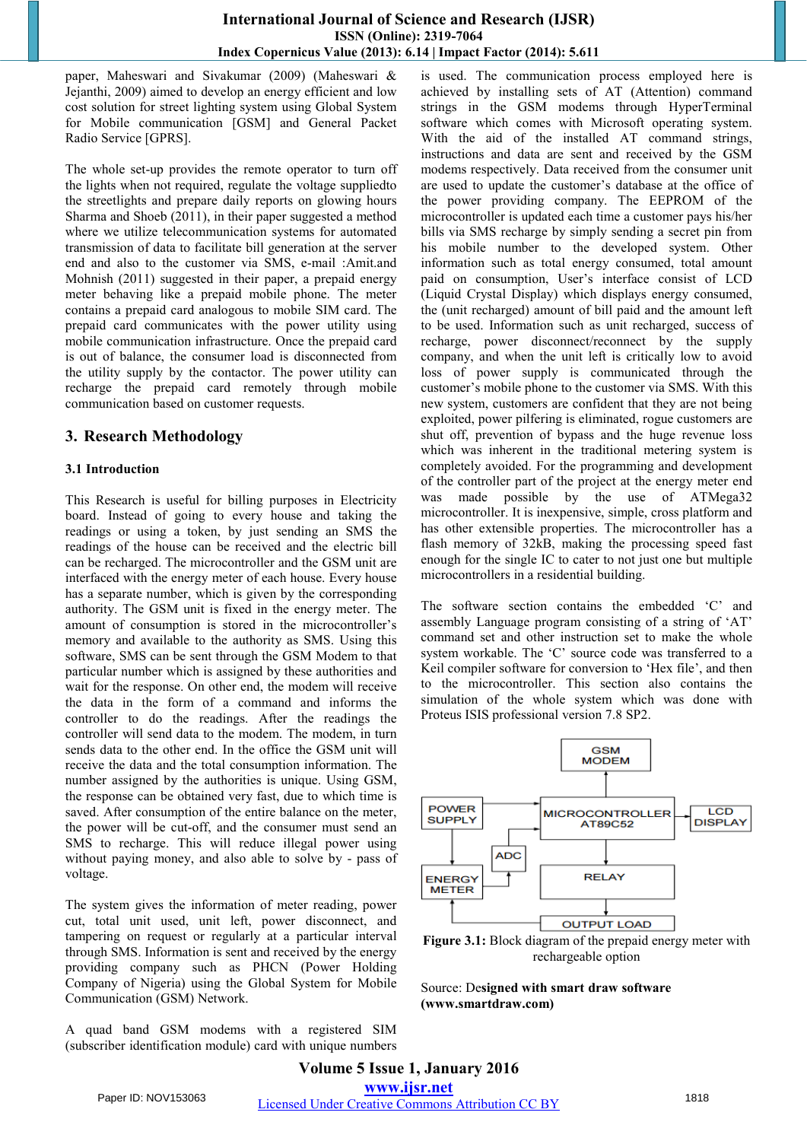paper, Maheswari and Sivakumar (2009) (Maheswari & Jejanthi, 2009) aimed to develop an energy efficient and low cost solution for street lighting system using Global System for Mobile communication [GSM] and General Packet Radio Service [GPRS].

The whole set-up provides the remote operator to turn off the lights when not required, regulate the voltage suppliedto the streetlights and prepare daily reports on glowing hours Sharma and Shoeb (2011), in their paper suggested a method where we utilize telecommunication systems for automated transmission of data to facilitate bill generation at the server end and also to the customer via SMS, e-mail :Amit.and Mohnish (2011) suggested in their paper, a prepaid energy meter behaving like a prepaid mobile phone. The meter contains a prepaid card analogous to mobile SIM card. The prepaid card communicates with the power utility using mobile communication infrastructure. Once the prepaid card is out of balance, the consumer load is disconnected from the utility supply by the contactor. The power utility can recharge the prepaid card remotely through mobile communication based on customer requests.

## **3. Research Methodology**

#### **3.1 Introduction**

This Research is useful for billing purposes in Electricity board. Instead of going to every house and taking the readings or using a token, by just sending an SMS the readings of the house can be received and the electric bill can be recharged. The microcontroller and the GSM unit are interfaced with the energy meter of each house. Every house has a separate number, which is given by the corresponding authority. The GSM unit is fixed in the energy meter. The amount of consumption is stored in the microcontroller's memory and available to the authority as SMS. Using this software, SMS can be sent through the GSM Modem to that particular number which is assigned by these authorities and wait for the response. On other end, the modem will receive the data in the form of a command and informs the controller to do the readings. After the readings the controller will send data to the modem. The modem, in turn sends data to the other end. In the office the GSM unit will receive the data and the total consumption information. The number assigned by the authorities is unique. Using GSM, the response can be obtained very fast, due to which time is saved. After consumption of the entire balance on the meter, the power will be cut-off, and the consumer must send an SMS to recharge. This will reduce illegal power using without paying money, and also able to solve by - pass of voltage.

The system gives the information of meter reading, power cut, total unit used, unit left, power disconnect, and tampering on request or regularly at a particular interval through SMS. Information is sent and received by the energy providing company such as PHCN (Power Holding Company of Nigeria) using the Global System for Mobile Communication (GSM) Network.

A quad band GSM modems with a registered SIM (subscriber identification module) card with unique numbers is used. The communication process employed here is achieved by installing sets of AT (Attention) command strings in the GSM modems through HyperTerminal software which comes with Microsoft operating system. With the aid of the installed AT command strings, instructions and data are sent and received by the GSM modems respectively. Data received from the consumer unit are used to update the customer's database at the office of the power providing company. The EEPROM of the microcontroller is updated each time a customer pays his/her bills via SMS recharge by simply sending a secret pin from his mobile number to the developed system. Other information such as total energy consumed, total amount paid on consumption, User's interface consist of LCD (Liquid Crystal Display) which displays energy consumed, the (unit recharged) amount of bill paid and the amount left to be used. Information such as unit recharged, success of recharge, power disconnect/reconnect by the supply company, and when the unit left is critically low to avoid loss of power supply is communicated through the customer's mobile phone to the customer via SMS. With this new system, customers are confident that they are not being exploited, power pilfering is eliminated, rogue customers are shut off, prevention of bypass and the huge revenue loss which was inherent in the traditional metering system is completely avoided. For the programming and development of the controller part of the project at the energy meter end was made possible by the use of ATMega32 microcontroller. It is inexpensive, simple, cross platform and has other extensible properties. The microcontroller has a flash memory of 32kB, making the processing speed fast enough for the single IC to cater to not just one but multiple microcontrollers in a residential building.

The software section contains the embedded 'C' and assembly Language program consisting of a string of 'AT' command set and other instruction set to make the whole system workable. The 'C' source code was transferred to a Keil compiler software for conversion to 'Hex file', and then to the microcontroller. This section also contains the simulation of the whole system which was done with Proteus ISIS professional version 7.8 SP2.



**Figure 3.1:** Block diagram of the prepaid energy meter with rechargeable option

Source: De**signed with smart draw software (www.smartdraw.com)**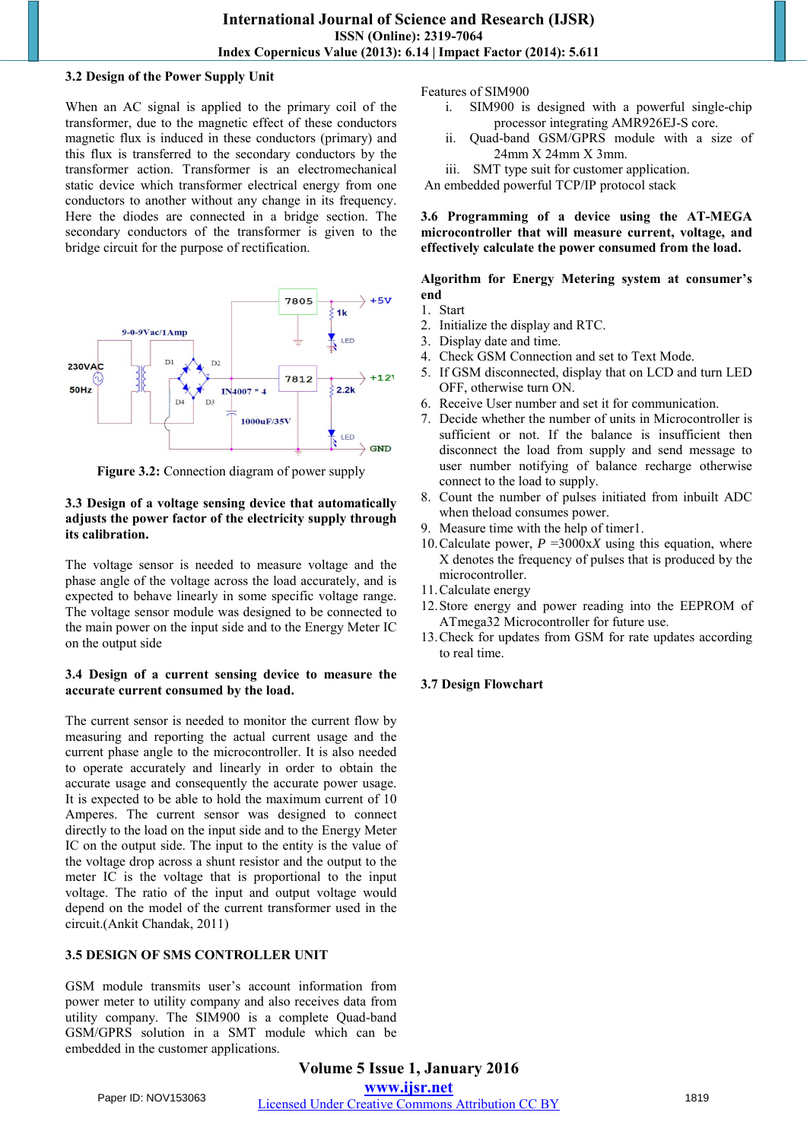#### **3.2 Design of the Power Supply Unit**

When an AC signal is applied to the primary coil of the transformer, due to the magnetic effect of these conductors magnetic flux is induced in these conductors (primary) and this flux is transferred to the secondary conductors by the transformer action. Transformer is an electromechanical static device which transformer electrical energy from one conductors to another without any change in its frequency. Here the diodes are connected in a bridge section. The secondary conductors of the transformer is given to the bridge circuit for the purpose of rectification.



**Figure 3.2:** Connection diagram of power supply

#### **3.3 Design of a voltage sensing device that automatically adjusts the power factor of the electricity supply through its calibration.**

The voltage sensor is needed to measure voltage and the phase angle of the voltage across the load accurately, and is expected to behave linearly in some specific voltage range. The voltage sensor module was designed to be connected to the main power on the input side and to the Energy Meter IC on the output side

#### **3.4 Design of a current sensing device to measure the accurate current consumed by the load.**

The current sensor is needed to monitor the current flow by measuring and reporting the actual current usage and the current phase angle to the microcontroller. It is also needed to operate accurately and linearly in order to obtain the accurate usage and consequently the accurate power usage. It is expected to be able to hold the maximum current of 10 Amperes. The current sensor was designed to connect directly to the load on the input side and to the Energy Meter IC on the output side. The input to the entity is the value of the voltage drop across a shunt resistor and the output to the meter IC is the voltage that is proportional to the input voltage. The ratio of the input and output voltage would depend on the model of the current transformer used in the circuit.(Ankit Chandak, 2011)

#### **3.5 DESIGN OF SMS CONTROLLER UNIT**

GSM module transmits user's account information from power meter to utility company and also receives data from utility company. The SIM900 is a complete Quad-band GSM/GPRS solution in a SMT module which can be embedded in the customer applications.

#### Features of SIM900

- i. SIM900 is designed with a powerful single-chip processor integrating AMR926EJ-S core.
- ii. Quad-band GSM/GPRS module with a size of 24mm X 24mm X 3mm.
- iii. SMT type suit for customer application.

An embedded powerful TCP/IP protocol stack

**3.6 Programming of a device using the AT-MEGA microcontroller that will measure current, voltage, and effectively calculate the power consumed from the load.** 

#### **Algorithm for Energy Metering system at consumer's end**

- 1. Start
- 2. Initialize the display and RTC.
- 3. Display date and time.
- 4. Check GSM Connection and set to Text Mode.
- 5. If GSM disconnected, display that on LCD and turn LED OFF, otherwise turn ON.
- 6. Receive User number and set it for communication.
- 7. Decide whether the number of units in Microcontroller is sufficient or not. If the balance is insufficient then disconnect the load from supply and send message to user number notifying of balance recharge otherwise connect to the load to supply.
- 8. Count the number of pulses initiated from inbuilt ADC when theload consumes power.
- 9. Measure time with the help of timer1.
- 10. Calculate power,  $P = 3000 \text{ xX}$  using this equation, where X denotes the frequency of pulses that is produced by the microcontroller.
- 11.Calculate energy
- 12.Store energy and power reading into the EEPROM of ATmega32 Microcontroller for future use.
- 13.Check for updates from GSM for rate updates according to real time.

## **3.7 Design Flowchart**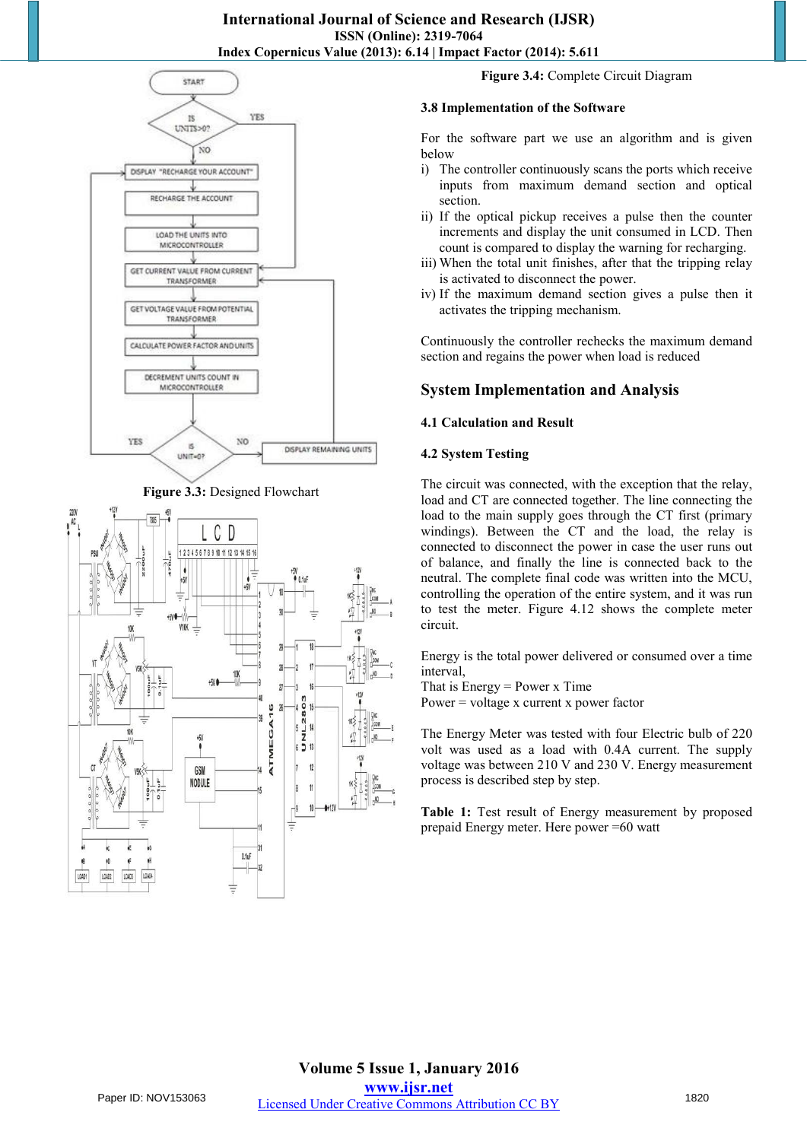





**Figure 3.4:** Complete Circuit Diagram

#### **3.8 Implementation of the Software**

For the software part we use an algorithm and is given below

- i) The controller continuously scans the ports which receive inputs from maximum demand section and optical section.
- ii) If the optical pickup receives a pulse then the counter increments and display the unit consumed in LCD. Then count is compared to display the warning for recharging.
- iii) When the total unit finishes, after that the tripping relay is activated to disconnect the power.
- iv) If the maximum demand section gives a pulse then it activates the tripping mechanism.

Continuously the controller rechecks the maximum demand section and regains the power when load is reduced

## **System Implementation and Analysis**

#### **4.1 Calculation and Result**

#### **4.2 System Testing**

The circuit was connected, with the exception that the relay, load and CT are connected together. The line connecting the load to the main supply goes through the CT first (primary windings). Between the CT and the load, the relay is connected to disconnect the power in case the user runs out of balance, and finally the line is connected back to the neutral. The complete final code was written into the MCU, controlling the operation of the entire system, and it was run to test the meter. Figure 4.12 shows the complete meter circuit.

Energy is the total power delivered or consumed over a time interval,

That is Energy = Power x Time

Power = voltage x current x power factor

The Energy Meter was tested with four Electric bulb of 220 volt was used as a load with 0.4A current. The supply voltage was between 210 V and 230 V. Energy measurement process is described step by step.

**Table 1:** Test result of Energy measurement by proposed prepaid Energy meter. Here power =60 watt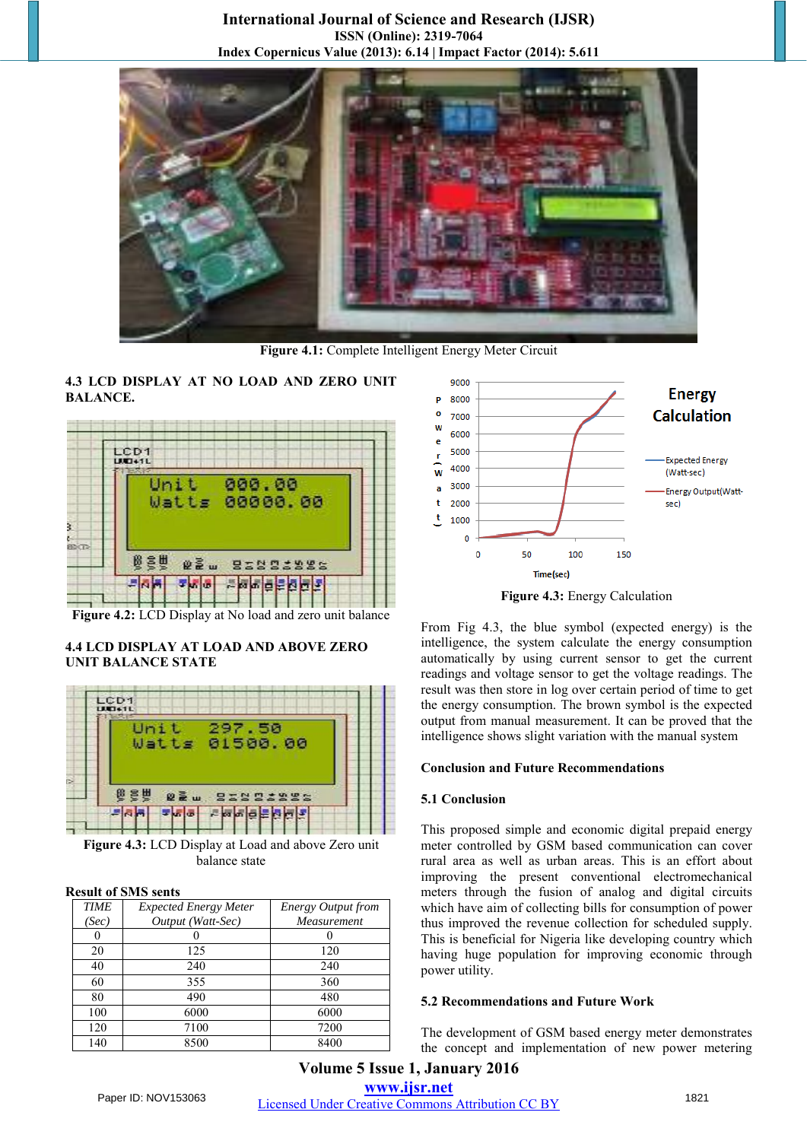

**Figure 4.1:** Complete Intelligent Energy Meter Circuit

#### **4.3 LCD DISPLAY AT NO LOAD AND ZERO UNIT BALANCE.**



**Figure 4.2:** LCD Display at No load and zero unit balance

#### **4.4 LCD DISPLAY AT LOAD AND ABOVE ZERO UNIT BALANCE STATE**



**Figure 4.3:** LCD Display at Load and above Zero unit balance state

#### **Result of SMS sents**

| <b>TIME</b> | <b>Expected Energy Meter</b> | <b>Energy Output from</b> |
|-------------|------------------------------|---------------------------|
| (Sec)       | Output (Watt-Sec)            | Measurement               |
|             |                              |                           |
| 20          | 125                          | 120                       |
| 40          | 240                          | 240                       |
| 60          | 355                          | 360                       |
| 80          | 490                          | 480                       |
| 100         | 6000                         | 6000                      |
| 120         | 7100                         | 7200                      |
| 140         | 8500                         | 8400                      |



**Figure 4.3:** Energy Calculation

From Fig 4.3, the blue symbol (expected energy) is the intelligence, the system calculate the energy consumption automatically by using current sensor to get the current readings and voltage sensor to get the voltage readings. The result was then store in log over certain period of time to get the energy consumption. The brown symbol is the expected output from manual measurement. It can be proved that the intelligence shows slight variation with the manual system

#### **Conclusion and Future Recommendations**

#### **5.1 Conclusion**

This proposed simple and economic digital prepaid energy meter controlled by GSM based communication can cover rural area as well as urban areas. This is an effort about improving the present conventional electromechanical meters through the fusion of analog and digital circuits which have aim of collecting bills for consumption of power thus improved the revenue collection for scheduled supply. This is beneficial for Nigeria like developing country which having huge population for improving economic through power utility.

#### **5.2 Recommendations and Future Work**

The development of GSM based energy meter demonstrates the concept and implementation of new power metering

## **Volume 5 Issue 1, January 2016 www.ijsr.net**